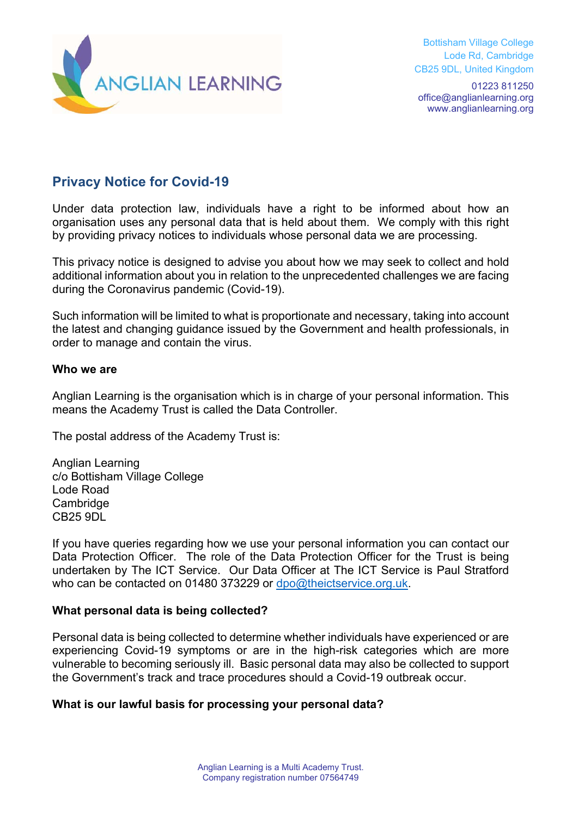

Bottisham Village College Lode Rd, Cambridge CB25 9DL, United Kingdom

01223 811250 office@anglianlearning.org www.anglianlearning.org

# **Privacy Notice for Covid-19**

Under data protection law, individuals have a right to be informed about how an organisation uses any personal data that is held about them. We comply with this right by providing privacy notices to individuals whose personal data we are processing.

This privacy notice is designed to advise you about how we may seek to collect and hold additional information about you in relation to the unprecedented challenges we are facing during the Coronavirus pandemic (Covid-19).

Such information will be limited to what is proportionate and necessary, taking into account the latest and changing guidance issued by the Government and health professionals, in order to manage and contain the virus.

#### **Who we are**

Anglian Learning is the organisation which is in charge of your personal information. This means the Academy Trust is called the Data Controller.

The postal address of the Academy Trust is:

Anglian Learning c/o Bottisham Village College Lode Road **Cambridge** CB25 9DL

If you have queries regarding how we use your personal information you can contact our Data Protection Officer. The role of the Data Protection Officer for the Trust is being undertaken by The ICT Service. Our Data Officer at The ICT Service is Paul Stratford who can be contacted on 01480 373229 or dpo@theictservice.org.uk.

#### **What personal data is being collected?**

Personal data is being collected to determine whether individuals have experienced or are experiencing Covid-19 symptoms or are in the high-risk categories which are more vulnerable to becoming seriously ill. Basic personal data may also be collected to support the Government's track and trace procedures should a Covid-19 outbreak occur.

#### **What is our lawful basis for processing your personal data?**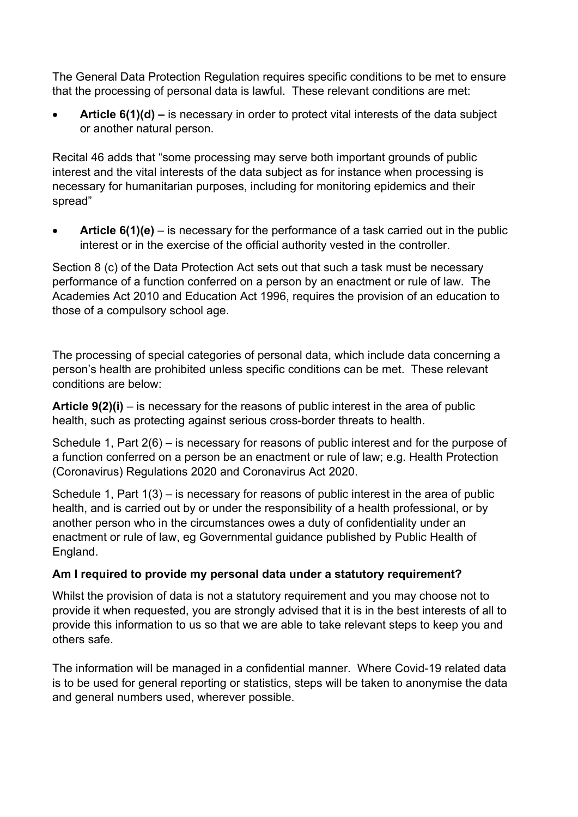The General Data Protection Regulation requires specific conditions to be met to ensure that the processing of personal data is lawful. These relevant conditions are met:

 **Article 6(1)(d) –** is necessary in order to protect vital interests of the data subject or another natural person.

Recital 46 adds that "some processing may serve both important grounds of public interest and the vital interests of the data subject as for instance when processing is necessary for humanitarian purposes, including for monitoring epidemics and their spread"

 **Article 6(1)(e)** – is necessary for the performance of a task carried out in the public interest or in the exercise of the official authority vested in the controller.

Section 8 (c) of the Data Protection Act sets out that such a task must be necessary performance of a function conferred on a person by an enactment or rule of law. The Academies Act 2010 and Education Act 1996, requires the provision of an education to those of a compulsory school age.

The processing of special categories of personal data, which include data concerning a person's health are prohibited unless specific conditions can be met. These relevant conditions are below:

**Article 9(2)(i)** – is necessary for the reasons of public interest in the area of public health, such as protecting against serious cross-border threats to health.

Schedule 1, Part 2(6) – is necessary for reasons of public interest and for the purpose of a function conferred on a person be an enactment or rule of law; e.g. Health Protection (Coronavirus) Regulations 2020 and Coronavirus Act 2020.

Schedule 1, Part 1(3) – is necessary for reasons of public interest in the area of public health, and is carried out by or under the responsibility of a health professional, or by another person who in the circumstances owes a duty of confidentiality under an enactment or rule of law, eg Governmental guidance published by Public Health of England.

## **Am I required to provide my personal data under a statutory requirement?**

Whilst the provision of data is not a statutory requirement and you may choose not to provide it when requested, you are strongly advised that it is in the best interests of all to provide this information to us so that we are able to take relevant steps to keep you and others safe.

The information will be managed in a confidential manner. Where Covid-19 related data is to be used for general reporting or statistics, steps will be taken to anonymise the data and general numbers used, wherever possible.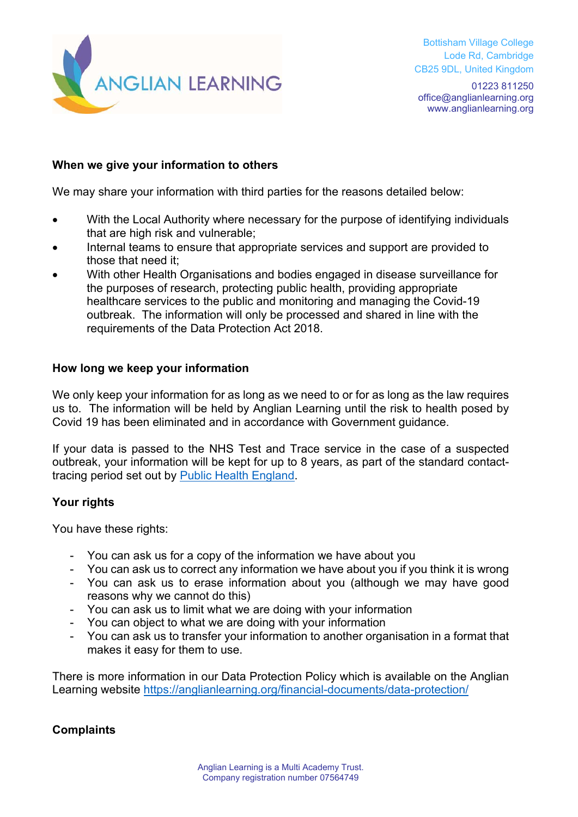

01223 811250 office@anglianlearning.org www.anglianlearning.org

## **When we give your information to others**

We may share your information with third parties for the reasons detailed below:

- With the Local Authority where necessary for the purpose of identifying individuals that are high risk and vulnerable;
- Internal teams to ensure that appropriate services and support are provided to those that need it;
- With other Health Organisations and bodies engaged in disease surveillance for the purposes of research, protecting public health, providing appropriate healthcare services to the public and monitoring and managing the Covid-19 outbreak. The information will only be processed and shared in line with the requirements of the Data Protection Act 2018.

#### **How long we keep your information**

We only keep your information for as long as we need to or for as long as the law requires us to. The information will be held by Anglian Learning until the risk to health posed by Covid 19 has been eliminated and in accordance with Government guidance.

If your data is passed to the NHS Test and Trace service in the case of a suspected outbreak, your information will be kept for up to 8 years, as part of the standard contacttracing period set out by Public Health England.

## **Your rights**

You have these rights:

- You can ask us for a copy of the information we have about you
- You can ask us to correct any information we have about you if you think it is wrong
- You can ask us to erase information about you (although we may have good reasons why we cannot do this)
- You can ask us to limit what we are doing with your information
- You can object to what we are doing with your information
- You can ask us to transfer your information to another organisation in a format that makes it easy for them to use.

There is more information in our Data Protection Policy which is available on the Anglian Learning website https://anglianlearning.org/financial-documents/data-protection/

## **Complaints**